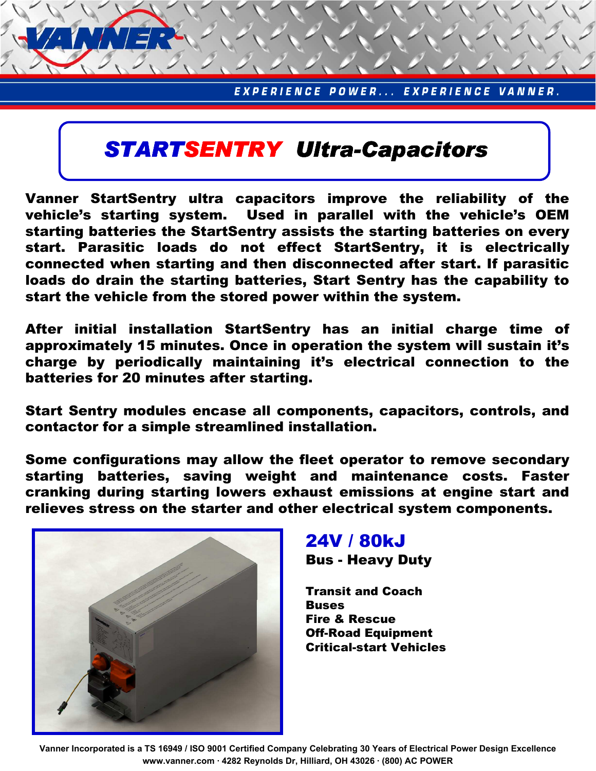## STARTSENTRY Ultra-Capacitors

Vanner StartSentry ultra capacitors improve the reliability of the vehicle's starting system. Used in parallel with the vehicle's OEM starting batteries the StartSentry assists the starting batteries on every start. Parasitic loads do not effect StartSentry, it is electrically connected when starting and then disconnected after start. If parasitic loads do drain the starting batteries, Start Sentry has the capability to start the vehicle from the stored power within the system.

After initial installation StartSentry has an initial charge time of approximately 15 minutes. Once in operation the system will sustain it's charge by periodically maintaining it's electrical connection to the batteries for 20 minutes after starting.

Start Sentry modules encase all components, capacitors, controls, and contactor for a simple streamlined installation.

Some configurations may allow the fleet operator to remove secondary starting batteries, saving weight and maintenance costs. Faster cranking during starting lowers exhaust emissions at engine start and relieves stress on the starter and other electrical system components.



## 24V / 80kJ

Bus - Heavy Duty

Transit and Coach Buses Fire & Rescue Off-Road Equipment Critical-start Vehicles

Vanner Incorporated is a TS 16949 / ISO 9001 Certified Company Celebrating 30 Years of Electrical Power Design Excellence www.vanner.com · 4282 Reynolds Dr, Hilliard, OH 43026 · (800) AC POWER